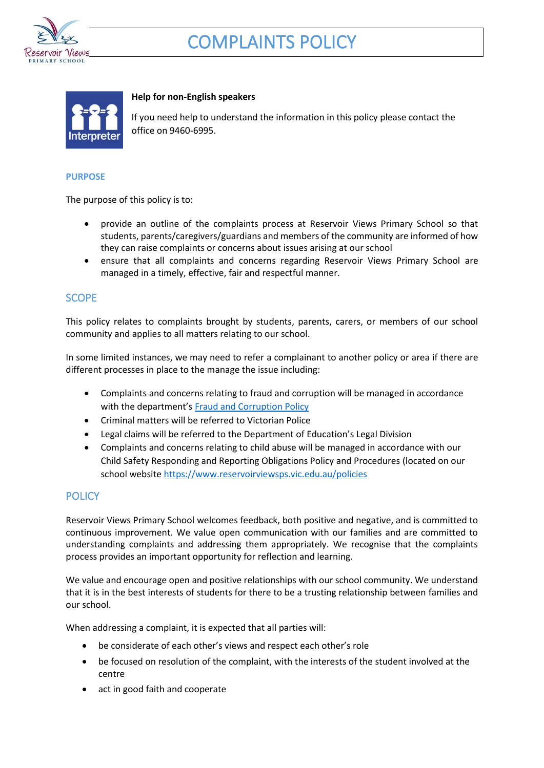

# COMPLAINTS POLICY



#### **Help for non-English speakers**

If you need help to understand the information in this policy please contact the office on 9460-6995.

#### **PURPOSE**

The purpose of this policy is to:

- provide an outline of the complaints process at Reservoir Views Primary School so that students, parents/caregivers/guardians and members of the community are informed of how they can raise complaints or concerns about issues arising at our school
- ensure that all complaints and concerns regarding Reservoir Views Primary School are managed in a timely, effective, fair and respectful manner.

## **SCOPE**

This policy relates to complaints brought by students, parents, carers, or members of our school community and applies to all matters relating to our school.

In some limited instances, we may need to refer a complainant to another policy or area if there are different processes in place to the manage the issue including:

- Complaints and concerns relating to fraud and corruption will be managed in accordance with the department's [Fraud and Corruption Policy](https://www2.education.vic.gov.au/pal/report-fraud-or-corruption/overview)
- Criminal matters will be referred to Victorian Police
- Legal claims will be referred to the Department of Education's Legal Division
- Complaints and concerns relating to child abuse will be managed in accordance with our Child Safety Responding and Reporting Obligations Policy and Procedures (located on our school website<https://www.reservoirviewsps.vic.edu.au/policies>

# **POLICY**

Reservoir Views Primary School welcomes feedback, both positive and negative, and is committed to continuous improvement. We value open communication with our families and are committed to understanding complaints and addressing them appropriately. We recognise that the complaints process provides an important opportunity for reflection and learning.

We value and encourage open and positive relationships with our school community. We understand that it is in the best interests of students for there to be a trusting relationship between families and our school.

When addressing a complaint, it is expected that all parties will:

- be considerate of each other's views and respect each other's role
- be focused on resolution of the complaint, with the interests of the student involved at the centre
- act in good faith and cooperate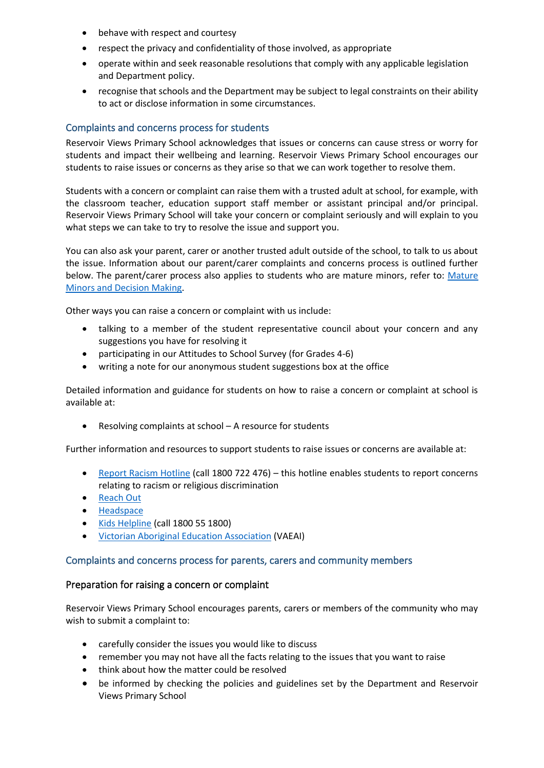- behave with respect and courtesy
- respect the privacy and confidentiality of those involved, as appropriate
- operate within and seek reasonable resolutions that comply with any applicable legislation and Department policy.
- recognise that schools and the Department may be subject to legal constraints on their ability to act or disclose information in some circumstances.

#### Complaints and concerns process for students

Reservoir Views Primary School acknowledges that issues or concerns can cause stress or worry for students and impact their wellbeing and learning. Reservoir Views Primary School encourages our students to raise issues or concerns as they arise so that we can work together to resolve them.

Students with a concern or complaint can raise them with a trusted adult at school, for example, with the classroom teacher, education support staff member or assistant principal and/or principal. Reservoir Views Primary School will take your concern or complaint seriously and will explain to you what steps we can take to try to resolve the issue and support you.

You can also ask your parent, carer or another trusted adult outside of the school, to talk to us about the issue. Information about our parent/carer complaints and concerns process is outlined further below. The parent/carer process also applies to students who are mature minors, refer to: [Mature](https://www2.education.vic.gov.au/pal/mature-minors-and-decision-making/policy)  [Minors and Decision Making.](https://www2.education.vic.gov.au/pal/mature-minors-and-decision-making/policy)

Other ways you can raise a concern or complaint with us include:

- talking to a member of the student representative council about your concern and any suggestions you have for resolving it
- participating in our Attitudes to School Survey (for Grades 4-6)
- writing a note for our anonymous student suggestions box at the office

Detailed information and guidance for students on how to raise a concern or complaint at school is available at:

• Resolving complaints at school – A resource for students

Further information and resources to support students to raise issues or concerns are available at:

- [Report Racism Hotline](https://www.vic.gov.au/report-racism-or-religious-discrimination-schools) (call 1800 722 476) this hotline enables students to report concerns relating to racism or religious discrimination
- [Reach Out](https://au.reachout.com/?gclid=CjwKCAiAgbiQBhAHEiwAuQ6BktaB5xneGFK3TnOql5c5eZ7af7dDm9ffLZa7N59FEtbtQzVIk8sGWhoC8N0QAvD_BwE)
- [Headspace](https://headspace.org.au/)
- [Kids Helpline](https://kidshelpline.com.au/?gclid=CjwKCAiAgbiQBhAHEiwAuQ6Bkro6UD2EBcRILznFnRhKjfi5I84jJlUa0fyiiYLQ4mHx5sXTStxH8BoCCEIQAvD_BwE) (call 1800 55 1800)
- Victorian [Aboriginal Education Association](https://www.vaeai.org.au/) (VAEAI)

#### Complaints and concerns process for parents, carers and community members

#### Preparation for raising a concern or complaint

Reservoir Views Primary School encourages parents, carers or members of the community who may wish to submit a complaint to:

- carefully consider the issues you would like to discuss
- remember you may not have all the facts relating to the issues that you want to raise
- think about how the matter could be resolved
- be informed by checking the policies and guidelines set by the Department and Reservoir Views Primary School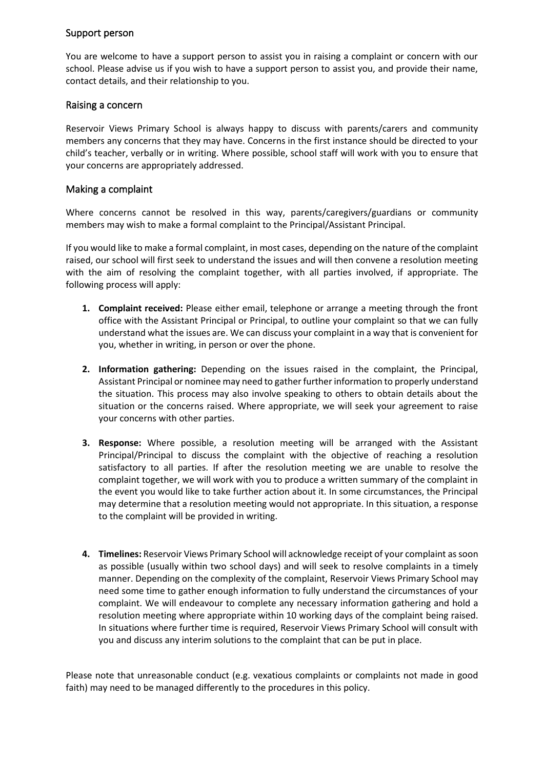## Support person

You are welcome to have a support person to assist you in raising a complaint or concern with our school. Please advise us if you wish to have a support person to assist you, and provide their name, contact details, and their relationship to you.

### Raising a concern

Reservoir Views Primary School is always happy to discuss with parents/carers and community members any concerns that they may have. Concerns in the first instance should be directed to your child's teacher, verbally or in writing. Where possible, school staff will work with you to ensure that your concerns are appropriately addressed.

#### Making a complaint

Where concerns cannot be resolved in this way, parents/caregivers/guardians or community members may wish to make a formal complaint to the Principal/Assistant Principal.

If you would like to make a formal complaint, in most cases, depending on the nature of the complaint raised, our school will first seek to understand the issues and will then convene a resolution meeting with the aim of resolving the complaint together, with all parties involved, if appropriate. The following process will apply:

- **1. Complaint received:** Please either email, telephone or arrange a meeting through the front office with the Assistant Principal or Principal, to outline your complaint so that we can fully understand what the issues are. We can discuss your complaint in a way that is convenient for you, whether in writing, in person or over the phone.
- **2. Information gathering:** Depending on the issues raised in the complaint, the Principal, Assistant Principal or nominee may need to gather further information to properly understand the situation. This process may also involve speaking to others to obtain details about the situation or the concerns raised. Where appropriate, we will seek your agreement to raise your concerns with other parties.
- **3. Response:** Where possible, a resolution meeting will be arranged with the Assistant Principal/Principal to discuss the complaint with the objective of reaching a resolution satisfactory to all parties. If after the resolution meeting we are unable to resolve the complaint together, we will work with you to produce a written summary of the complaint in the event you would like to take further action about it. In some circumstances, the Principal may determine that a resolution meeting would not appropriate. In this situation, a response to the complaint will be provided in writing.
- **4. Timelines:** Reservoir Views Primary School will acknowledge receipt of your complaint as soon as possible (usually within two school days) and will seek to resolve complaints in a timely manner. Depending on the complexity of the complaint, Reservoir Views Primary School may need some time to gather enough information to fully understand the circumstances of your complaint. We will endeavour to complete any necessary information gathering and hold a resolution meeting where appropriate within 10 working days of the complaint being raised. In situations where further time is required, Reservoir Views Primary School will consult with you and discuss any interim solutions to the complaint that can be put in place.

Please note that unreasonable conduct (e.g. vexatious complaints or complaints not made in good faith) may need to be managed differently to the procedures in this policy.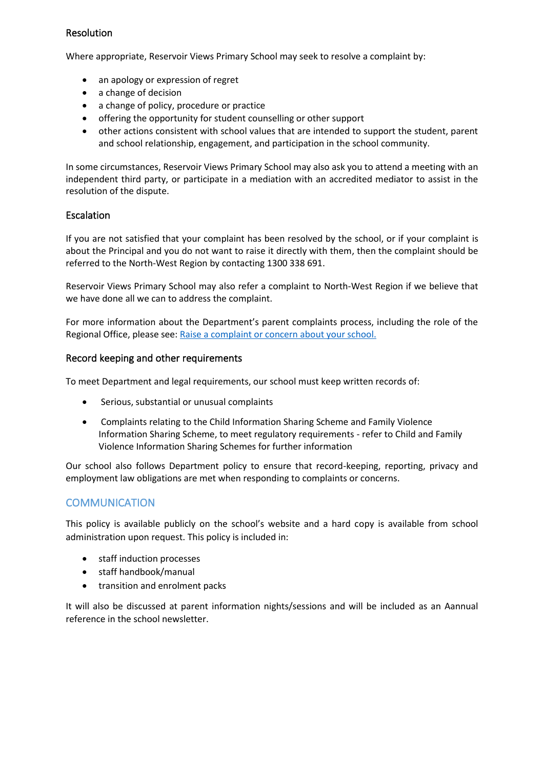# Resolution

Where appropriate, Reservoir Views Primary School may seek to resolve a complaint by:

- an apology or expression of regret
- a change of decision
- a change of policy, procedure or practice
- offering the opportunity for student counselling or other support
- other actions consistent with school values that are intended to support the student, parent and school relationship, engagement, and participation in the school community.

In some circumstances, Reservoir Views Primary School may also ask you to attend a meeting with an independent third party, or participate in a mediation with an accredited mediator to assist in the resolution of the dispute.

# **Escalation**

If you are not satisfied that your complaint has been resolved by the school, or if your complaint is about the Principal and you do not want to raise it directly with them, then the complaint should be referred to the North-West Region by contacting 1300 338 691.

Reservoir Views Primary School may also refer a complaint to North-West Region if we believe that we have done all we can to address the complaint.

For more information about the Department's parent complaints process, including the role of the Regional Office, please see: [Raise a complaint or concern about your school.](https://www.vic.gov.au/raise-complaint-or-concern-about-your-school#speaking-to-your-school)

## Record keeping and other requirements

To meet Department and legal requirements, our school must keep written records of:

- Serious, substantial or unusual complaints
- Complaints relating to the Child Information Sharing Scheme and Family Violence Information Sharing Scheme, to meet regulatory requirements - refer to Child and Family Violence Information Sharing Schemes for further information

Our school also follows Department policy to ensure that record-keeping, reporting, privacy and employment law obligations are met when responding to complaints or concerns.

# **COMMUNICATION**

This policy is available publicly on the school's website and a hard copy is available from school administration upon request. This policy is included in:

- staff induction processes
- staff handbook/manual
- transition and enrolment packs

It will also be discussed at parent information nights/sessions and will be included as an Aannual reference in the school newsletter.